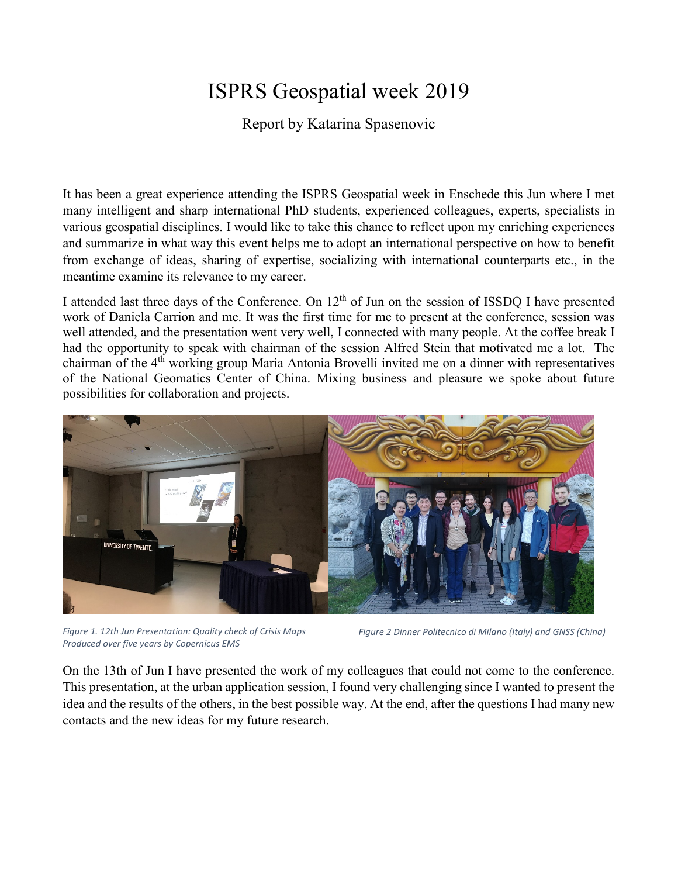## ISPRS Geospatial week 2019

Report by Katarina Spasenovic

It has been a great experience attending the ISPRS Geospatial week in Enschede this Jun where I met many intelligent and sharp international PhD students, experienced colleagues, experts, specialists in various geospatial disciplines. I would like to take this chance to reflect upon my enriching experiences and summarize in what way this event helps me to adopt an international perspective on how to benefit from exchange of ideas, sharing of expertise, socializing with international counterparts etc., in the meantime examine its relevance to my career.

I attended last three days of the Conference. On 12<sup>th</sup> of Jun on the session of ISSDQ I have presented work of Daniela Carrion and me. It was the first time for me to present at the conference, session was well attended, and the presentation went very well, I connected with many people. At the coffee break I had the opportunity to speak with chairman of the session Alfred Stein that motivated me a lot. The chairman of the 4th working group Maria Antonia Brovelli invited me on a dinner with representatives of the National Geomatics Center of China. Mixing business and pleasure we spoke about future possibilities for collaboration and projects.



*Figure 1. 12th Jun Presentation: Quality check of Crisis Maps Produced over five years by Copernicus EMS*

*Figure 2 Dinner Politecnico di Milano (Italy) and GNSS (China)*

On the 13th of Jun I have presented the work of my colleagues that could not come to the conference. This presentation, at the urban application session, I found very challenging since I wanted to present the idea and the results of the others, in the best possible way. At the end, after the questions I had many new contacts and the new ideas for my future research.